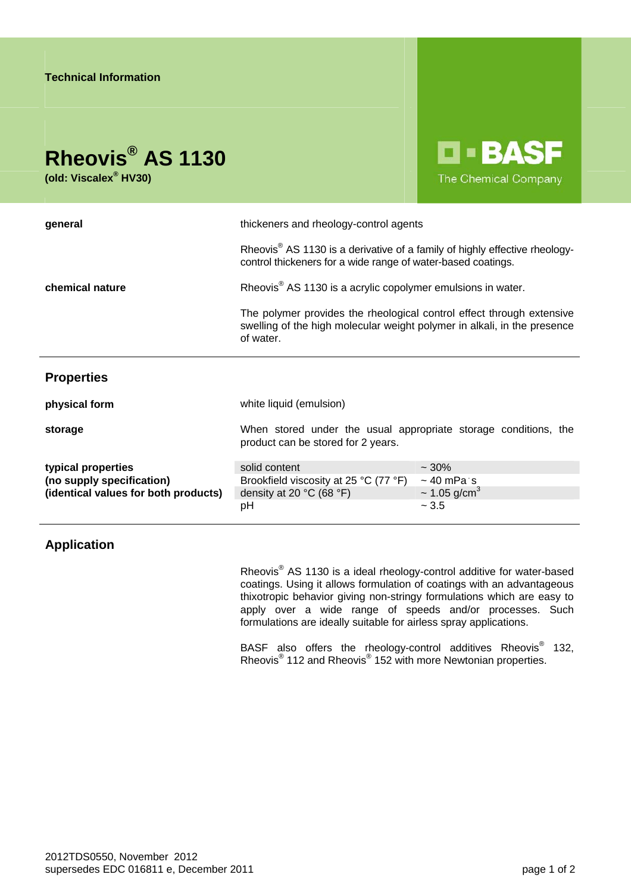## **Rheovis® AS 1130**

**(old: Viscalex® HV30)** 

**D-BASF** The Chemical Company

| general                                                                                 | thickeners and rheology-control agents                                                                                                                         |                               |
|-----------------------------------------------------------------------------------------|----------------------------------------------------------------------------------------------------------------------------------------------------------------|-------------------------------|
|                                                                                         | Rheovis <sup>®</sup> AS 1130 is a derivative of a family of highly effective rheology-<br>control thickeners for a wide range of water-based coatings.         |                               |
| chemical nature                                                                         | Rheovis <sup>®</sup> AS 1130 is a acrylic copolymer emulsions in water.                                                                                        |                               |
|                                                                                         | The polymer provides the rheological control effect through extensive<br>swelling of the high molecular weight polymer in alkali, in the presence<br>of water. |                               |
| <b>Properties</b>                                                                       |                                                                                                                                                                |                               |
| physical form                                                                           | white liquid (emulsion)                                                                                                                                        |                               |
| storage                                                                                 | When stored under the usual appropriate storage conditions, the<br>product can be stored for 2 years.                                                          |                               |
| typical properties<br>(no supply specification)<br>(identical values for both products) | solid content                                                                                                                                                  | $~10\%$                       |
|                                                                                         | Brookfield viscosity at 25 °C (77 °F)                                                                                                                          | $\sim$ 40 mPa s               |
|                                                                                         | density at 20 $^{\circ}$ C (68 $^{\circ}$ F)                                                                                                                   | $\sim$ 1.05 g/cm <sup>3</sup> |
|                                                                                         | рH                                                                                                                                                             | $~1 - 3.5$                    |

## **Application**

Rheovis<sup>®</sup> AS 1130 is a ideal rheology-control additive for water-based coatings. Using it allows formulation of coatings with an advantageous thixotropic behavior giving non-stringy formulations which are easy to apply over a wide range of speeds and/or processes. Such formulations are ideally suitable for airless spray applications.

BASF also offers the rheology-control additives Rheovis<sup>®</sup> 132, Rheovis<sup>®</sup> 112 and Rheovis<sup>®</sup> 152 with more Newtonian properties.